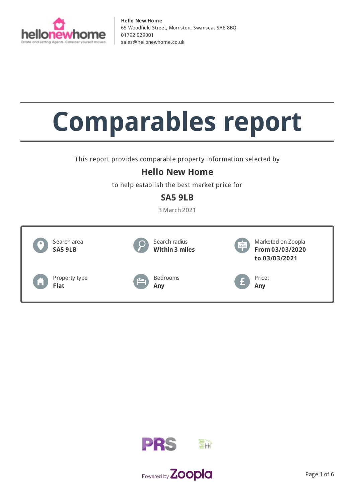

# **Comparables report**

This report provides comparable property information selected by

# **Hello New Home**

to help establish the best market price for

## **SA5 9LB**

3 March 2021





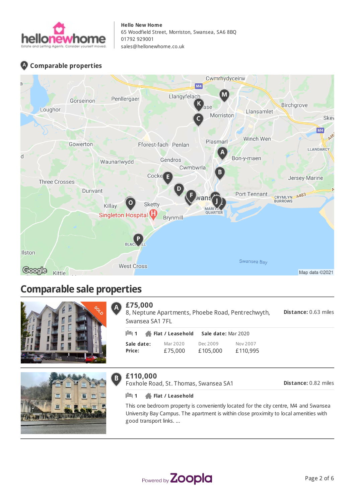

### **Comparable properties**



# **Comparable sale properties**





#### **£75,000**  $\mathbf{A}$

**Distance:** 0.63 miles 8, Neptune Apartments, Phoebe Road, Pentrechwyth, Swansea SA1 7FL

| ⊫1            | Flat / Leasehold | Sale date: Mar 2020 |          |  |
|---------------|------------------|---------------------|----------|--|
| Sale date:    | Mar 2020         | Dec 2009            | Nov 2007 |  |
| <b>Price:</b> | £75,000          | £105,000            | £110.995 |  |

#### **£110,000**  $\mathbf{B}$

Foxhole Road, St. Thomas, Swansea SA1

| <b>Distance: 0.82 miles</b> |  |
|-----------------------------|--|

**1 Flat / Leasehold**

This one bedroom property is conveniently located for the city centre, M4 and Swansea University Bay Campus. The apartment is within close proximity to local amenities with good transport links. ...

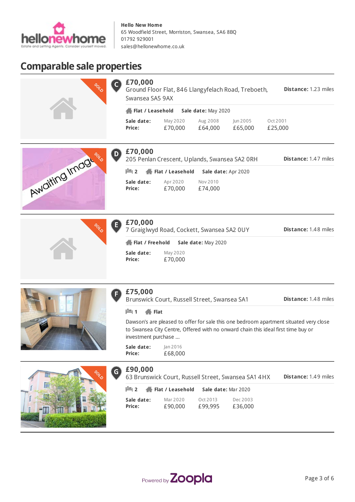

# **Comparable sale properties**

|               | $\mathsf{C}$<br><b>CONSO</b> | £70,000<br>Swansea SA5 9AX              |                     |                                               | Ground Floor Flat, 846 Llangyfelach Road, Treboeth, | Distance: 1.23 miles        |
|---------------|------------------------------|-----------------------------------------|---------------------|-----------------------------------------------|-----------------------------------------------------|-----------------------------|
|               |                              | Flat / Leasehold<br>Sale date: May 2020 |                     |                                               |                                                     |                             |
|               |                              | Sale date:<br>Price:                    | May 2020<br>£70,000 | Aug 2008<br>£64,000                           | Jun 2005<br>£65,000                                 | Oct 2001<br>£25,000         |
|               | D<br><b>PDO</b>              | £70,000                                 |                     | 205 Penlan Crescent, Uplands, Swansea SA2 ORH |                                                     | <b>Distance: 1.47 miles</b> |
|               |                              | $\mathbb{H}$ 2                          | Flat / Leasehold    |                                               | Sale date: Apr 2020                                 |                             |
| waiting Image |                              | Sale date:<br>Price:                    | Apr 2020<br>£70,000 | Nov 2010<br>£74,000                           |                                                     |                             |
|               |                              |                                         |                     |                                               |                                                     |                             |



### **£70,000**

7 Graiglwyd Road, Cockett, Swansea SA2 0UY

**Distance:** 1.48 miles

| Flat / Freehold |          | Sale date: May |  |
|-----------------|----------|----------------|--|
| Sale date:      | May 2020 |                |  |
| Price:          | £70,000  |                |  |



### **£75,000**

F

F

Brunswick Court, Russell Street, Swansea SA1

**Distance:** 1.48 miles

#### **1 Flat**

Dawson's are pleased to offer for sale this one bedroom apartment situated very close to Swansea City Centre, Offered with no onward chain this ideal first time buy or investment purchase ...

**Flat / Freehold Sale date:** May 2020

**Sale date: Price:** Jan 2016 £68,000



### **£90,000**

**Distance:** 1.49 miles 63 Brunswick Court, Russell Street, Swansea SA1 4HX

|            | $\frac{1}{2}$ 2 $\frac{1}{2}$ Flat / Leasehold | Sale date: Mar 2020 |          |
|------------|------------------------------------------------|---------------------|----------|
| Sale date: | Mar 2020                                       | Oct 2013            | Dec 2003 |
| Price:     | £90,000                                        | £99,995             | £36,000  |

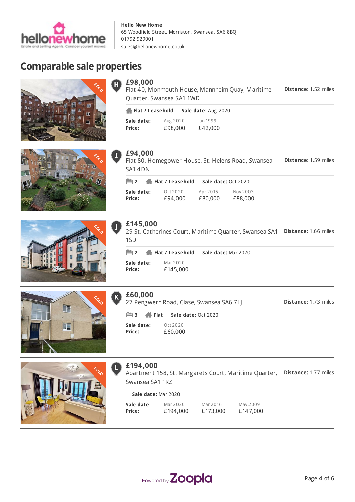

> Aug 2020 £98,000

**Flat / Leasehold Sale date:** Aug 2020

Quarter, Swansea SA1 1WD

Oct 2020 £94,000

**2 Flat / Leasehold Sale date:** Oct 2020

**2 Flat / Leasehold Sale date:** Mar 2020

Jan 1999 £42,000

Flat 40, Monmouth House, Mannheim Quay, Maritime

Flat 80, Homegower House, St. Helens Road, Swansea

Apr 2015 £80,000 Nov 2003 £88,000

29 St. Catherines Court, Maritime Quarter, Swansea SA1 **Distance:** 1.66 miles

# **Comparable sale properties**











**£60,000**

**Sale date: Price:**

1SD

**Sale date: Price:**

**£94,000**

SA1 4DN

**£98,000**

**Sale date: Price:**

**£145,000**

27 Pengwern Road, Clase, Swansea SA6 7LJ

Mar 2020 £145,000

**Distance:** 1.73 miles

**Distance:** 1.52 miles

**Distance:** 1.59 miles

**Sale date: Price:** Oct 2020 £60,000 **3 Flat Sale date:** Oct 2020



### **£194,000**

L

Apartment 158, St. Margarets Court, Maritime Quarter, Distance: 1.77 miles Swansea SA1 1RZ

| Sale date: Mar 2020 |          |          |          |  |
|---------------------|----------|----------|----------|--|
| Sale date:          | Mar 2020 | Mar 2016 | May 2009 |  |
| Price:              | £194,000 | £173,000 | £147,000 |  |

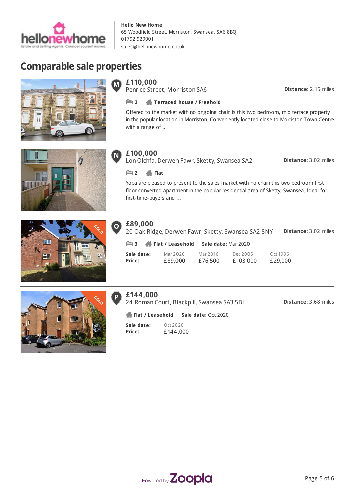

# **Comparable sale properties**



 $\mathbf{\widehat{M}}$ 

Penrice Street, Morriston SA6

**Distance:** 2.15 miles

#### **2 Terraced house / Freehold**

Offered to the market with no ongoing chain is this two bedroom, mid terrace property in the popular location in Morriston. Conveniently located close to Morriston Town Centre with a range of ...



#### **£100,000**  $\blacksquare$

Lon Olchfa, Derwen Fawr, Sketty, Swansea SA2

**Distance:** 3.02 miles

#### **2 Flat**

Yopa are pleased to present to the sales market with no chain this two bedroom first floor converted apartment in the popular residential area of Sketty, Swansea. Ideal for first-time-buyers and ...





#### **£89,000**  $\overline{\mathbf{o}}$

**Distance:** 3.02 miles 20 Oak Ridge, Derwen Fawr, Sketty, Swansea SA2 8NY

| $\mathbb{H}$ 3 <b>Heat</b> / Leasehold |          | Sale date: Mar 2020 |          |          |
|----------------------------------------|----------|---------------------|----------|----------|
| Sale date:                             | Mar 2020 | Mar 2016            | Dec 2005 | Oct 1996 |
| Price:                                 | £89,000  | £76,500             | £103,000 | £29,000  |



24 Roman Court, Blackpill, Swansea SA3 5BL

**Distance:** 3.68 miles

**Sale date: Price:** Oct 2020 £144,000 **Flat / Leasehold Sale date:** Oct 2020